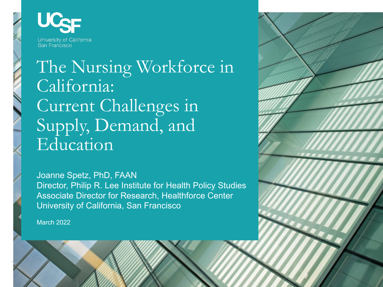

# The Nursing Workforce in California: Current Challenges in Supply, Demand, and Education

Joanne Spetz, PhD, FAAN Director, Philip R. Lee Institute for Health Policy Studies Associate Director for Research, Healthforce Center University of California, San Francisco

March 2022

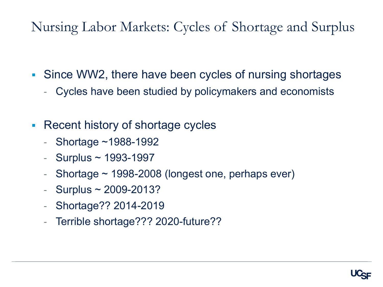Nursing Labor Markets: Cycles of Shortage and Surplus

- Since WW2, there have been cycles of nursing shortages
	- Cycles have been studied by policymakers and economists
- Recent history of shortage cycles
	- Shortage ~1988-1992
	- Surplus ~ 1993-1997
	- Shortage  $\sim$  1998-2008 (longest one, perhaps ever)
	- $-$  Surplus  $\sim$  2009-2013?
	- Shortage?? 2014-2019
	- Terrible shortage??? 2020-future??

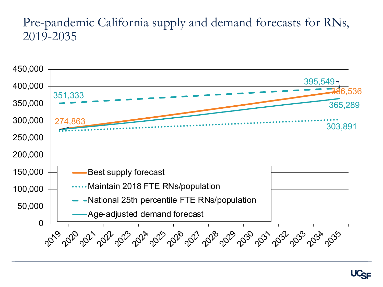#### Pre-pandemic California supply and demand forecasts for RNs, 2019-2035



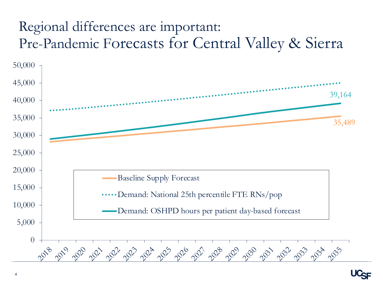## Regional differences are important: Pre-Pandemic Forecasts for Central Valley & Sierra



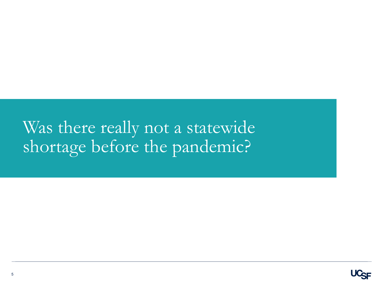# Was there really not a statewide shortage before the pandemic?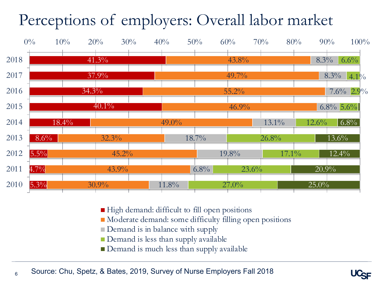# Perceptions of employers: Overall labor market



- High demand: difficult to fill open positions
- Moderate demand: some difficulty filling open positions
- Demand is in balance with supply
- $\blacksquare$  Demand is less than supply available
- Demand is much less than supply available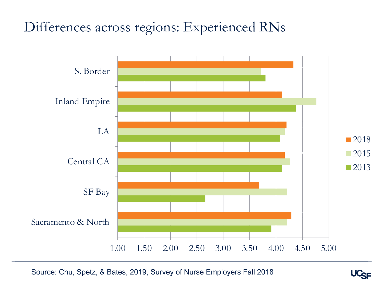### Differences across regions: Experienced RNs



Source: Chu, Spetz, & Bates, 2019, Survey of Nurse Employers Fall 2018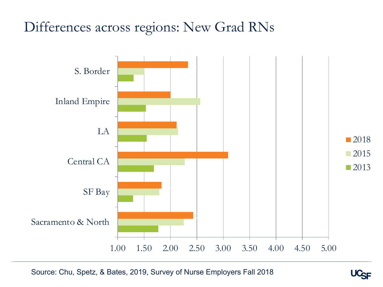#### Differences across regions: New Grad RNs



Source: Chu, Spetz, & Bates, 2019, Survey of Nurse Employers Fall 2018

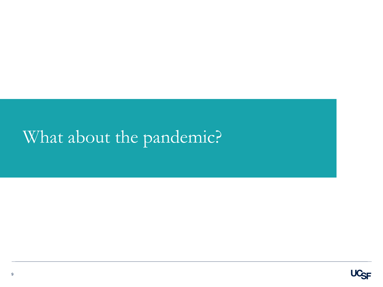# What about the pandemic?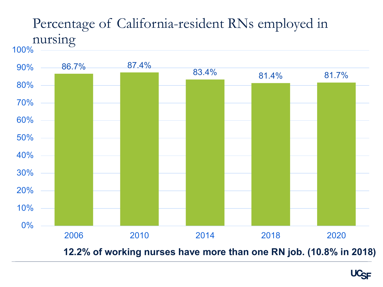# Percentage of California-resident RNs employed in nursing

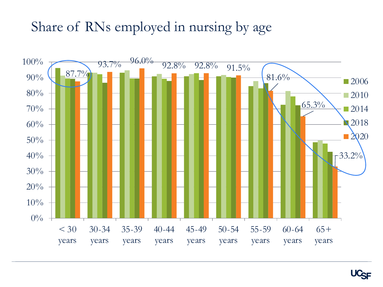#### Share of RNs employed in nursing by age

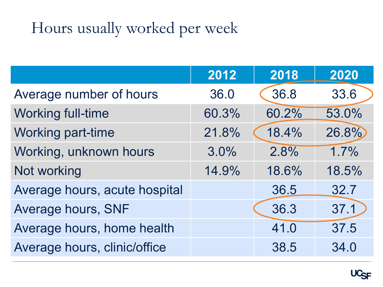# Hours usually worked per week

|                               | 2012  | 2018  | 2020  |
|-------------------------------|-------|-------|-------|
| Average number of hours       | 36.0  | 36.8  | 33.6  |
| <b>Working full-time</b>      | 60.3% | 60.2% | 53.0% |
| <b>Working part-time</b>      | 21.8% | 18.4% | 26.8% |
| Working, unknown hours        | 3.0%  | 2.8%  | 1.7%  |
| Not working                   | 14.9% | 18.6% | 18.5% |
| Average hours, acute hospital |       | 36.5  | 32.7  |
| Average hours, SNF            |       | 36.3  | 37.1  |
| Average hours, home health    |       | 41.0  | 37.5  |
| Average hours, clinic/office  |       | 38.5  | 34.0  |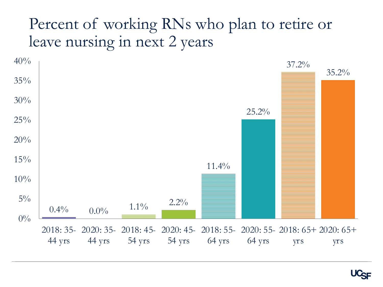# Percent of working RNs who plan to retire or leave nursing in next 2 years



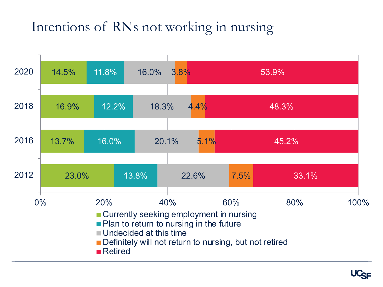# Intentions of RNs not working in nursing

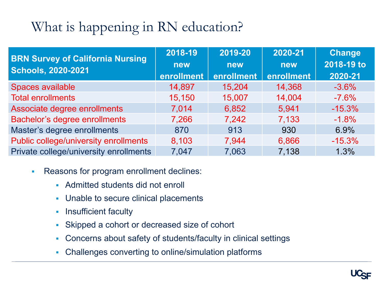# What is happening in RN education?

| <b>BRN Survey of California Nursing</b> | 2018-19    | 2019-20    | 2020-21    | <b>Change</b> |
|-----------------------------------------|------------|------------|------------|---------------|
| <b>Schools, 2020-2021</b>               | <b>new</b> | <b>new</b> | new        | 2018-19 to    |
|                                         | enrollment | enrollment | enrollment | 2020-21       |
| Spaces available                        | 14,897     | 15,204     | 14,368     | $-3.6%$       |
| <b>Total enrollments</b>                | 15,150     | 15,007     | 14,004     | $-7.6%$       |
| Associate degree enrollments            | 7,014      | 6,852      | 5,941      | $-15.3%$      |
| Bachelor's degree enrollments           | 7,266      | 7,242      | 7,133      | $-1.8%$       |
| Master's degree enrollments             | 870        | 913        | 930        | 6.9%          |
| Public college/university enrollments   | 8,103      | 7,944      | 6,866      | $-15.3%$      |
| Private college/university enrollments  | 7,047      | 7,063      | 7,138      | 1.3%          |

- Reasons for program enrollment declines:
	- Admitted students did not enroll
	- Unable to secure clinical placements
	- Insufficient faculty
	- Skipped a cohort or decreased size of cohort
	- Concerns about safety of students/faculty in clinical settings
	- Challenges converting to online/simulation platforms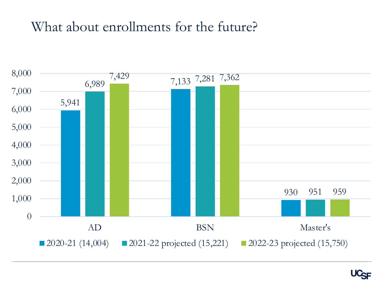#### What about enrollments for the future?



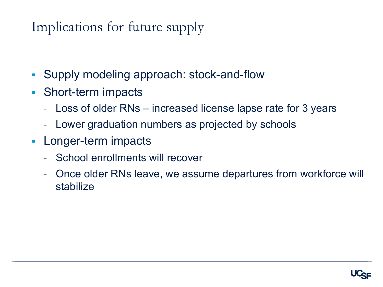### Implications for future supply

- Supply modeling approach: stock-and-flow
- Short-term impacts
	- Loss of older RNs increased license lapse rate for 3 years
	- Lower graduation numbers as projected by schools
- Longer-term impacts
	- School enrollments will recover
	- Once older RNs leave, we assume departures from workforce will stabilize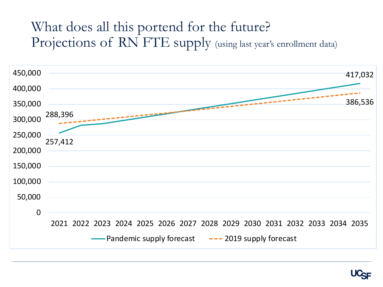### What does all this portend for the future? Projections of RN FTE supply (using last year's enrollment data)



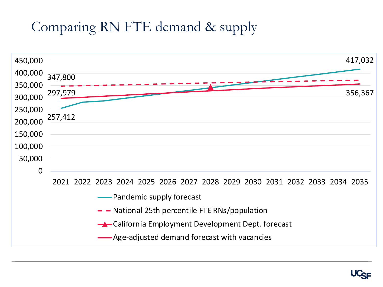# Comparing RN FTE demand & supply

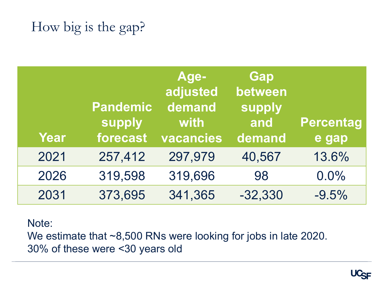## How big is the gap?

| Year | <b>Pandemic</b><br>supply<br>forecast | Age-<br>adjusted<br>demand<br>with<br>vacancies | Gap<br>between<br>supply<br>and<br>demand | <b>Percentag</b><br>e gap |
|------|---------------------------------------|-------------------------------------------------|-------------------------------------------|---------------------------|
| 2021 | 257,412                               | 297,979                                         | 40,567                                    | 13.6%                     |
| 2026 | 319,598                               | 319,696                                         | 98                                        | 0.0%                      |
| 2031 | 373,695                               | 341,365                                         | $-32,330$                                 | $-9.5%$                   |

#### Note:

We estimate that ~8,500 RNs were looking for jobs in late 2020. 30% of these were <30 years old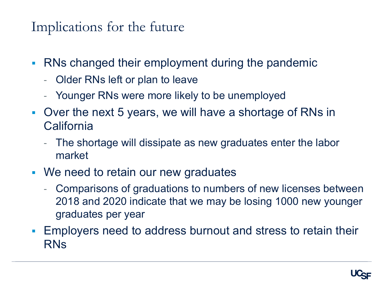Implications for the future

- RNs changed their employment during the pandemic
	- Older RNs left or plan to leave
	- Younger RNs were more likely to be unemployed
- § Over the next 5 years, we will have a shortage of RNs in **California** 
	- The shortage will dissipate as new graduates enter the labor market
- We need to retain our new graduates
	- Comparisons of graduations to numbers of new licenses between 2018 and 2020 indicate that we may be losing 1000 new younger graduates per year
- § Employers need to address burnout and stress to retain their RNs